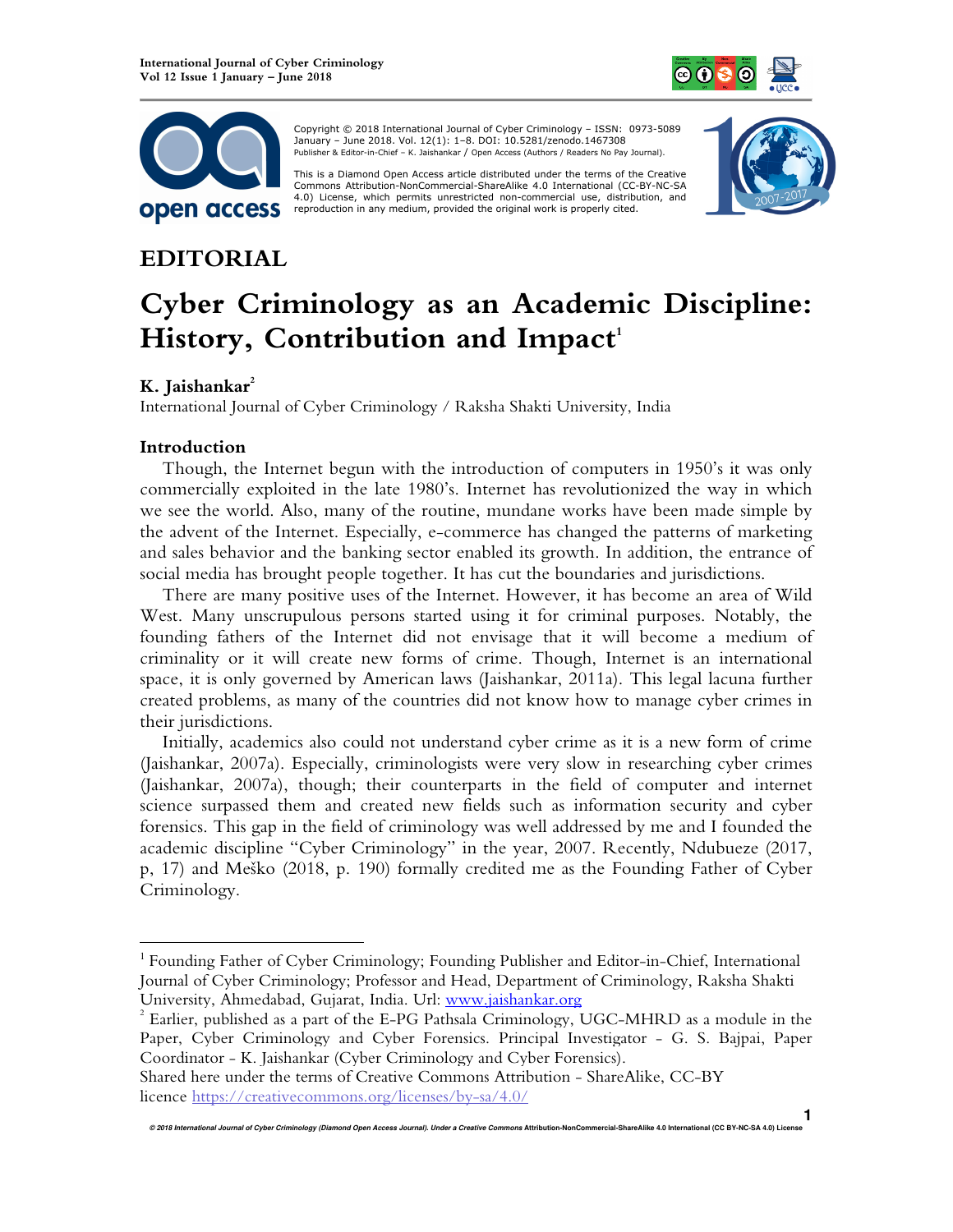



 Copyright © 2018 International Journal of Cyber Criminology – ISSN: 0973-5089 January – June 2018. Vol. 12(1): 1–8. DOI: 10.5281/zenodo.1467308 Publisher & Editor-in-Chief – K. Jaishankar / Open Access (Authors / Readers No Pay Journal).

This is a Diamond Open Access article distributed under the terms of the Creative Commons HTUAttribution-NonCommercial-ShareAlike 4.0 International (CC-BY-NC-SA 4.0) License, which permits unrestricted non-commercial use, distribution, and reproduction in any medium, provided the original work is properly cited.



**1**

# **EDITORIAL**

# **Cyber Criminology as an Academic Discipline:**  History, Contribution and Impact<sup>1</sup>

# **K. Jaishankar<sup>2</sup>**

International Journal of Cyber Criminology / Raksha Shakti University, India

#### **Introduction**

 $\overline{a}$ 

Though, the Internet begun with the introduction of computers in 1950's it was only commercially exploited in the late 1980's. Internet has revolutionized the way in which we see the world. Also, many of the routine, mundane works have been made simple by the advent of the Internet. Especially, e-commerce has changed the patterns of marketing and sales behavior and the banking sector enabled its growth. In addition, the entrance of social media has brought people together. It has cut the boundaries and jurisdictions.

There are many positive uses of the Internet. However, it has become an area of Wild West. Many unscrupulous persons started using it for criminal purposes. Notably, the founding fathers of the Internet did not envisage that it will become a medium of criminality or it will create new forms of crime. Though, Internet is an international space, it is only governed by American laws (Jaishankar, 2011a). This legal lacuna further created problems, as many of the countries did not know how to manage cyber crimes in their jurisdictions.

Initially, academics also could not understand cyber crime as it is a new form of crime (Jaishankar, 2007a). Especially, criminologists were very slow in researching cyber crimes (Jaishankar, 2007a), though; their counterparts in the field of computer and internet science surpassed them and created new fields such as information security and cyber forensics. This gap in the field of criminology was well addressed by me and I founded the academic discipline "Cyber Criminology" in the year, 2007. Recently, Ndubueze (2017, p, 17) and Meško (2018, p. 190) formally credited me as the Founding Father of Cyber Criminology.

**© 2018 International Journal of Cyber Criminology (Diamond Open Access Journal). Under a Creative Commons Attribution-NonCommercial-ShareAlike 4.0 International (CC BY-NC-SA 4.0) License** 

<sup>&</sup>lt;sup>1</sup> Founding Father of Cyber Criminology; Founding Publisher and Editor-in-Chief, International Journal of Cyber Criminology; Professor and Head, Department of Criminology, Raksha Shakti University, Ahmedabad, Gujarat, India. Url: www.jaishankar.org

 $^2$  Earlier, published as a part of the E-PG Pathsala Criminology, UGC-MHRD as a module in the Paper, Cyber Criminology and Cyber Forensics. Principal Investigator - G. S. Bajpai, Paper Coordinator - K. Jaishankar (Cyber Criminology and Cyber Forensics).

Shared here under the terms of Creative Commons Attribution - ShareAlike, CC-BY licence https://creativecommons.org/licenses/by-sa/4.0/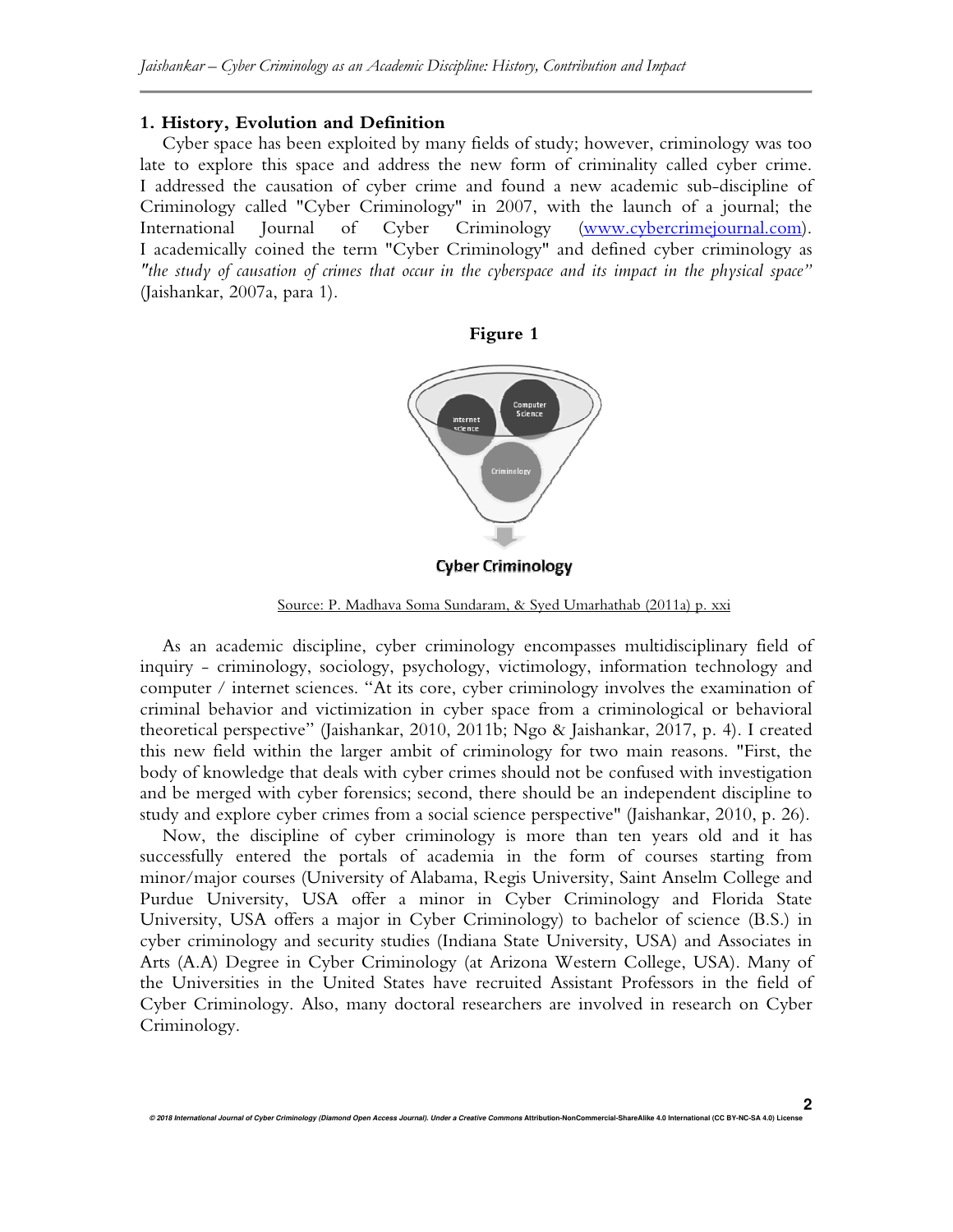#### **1. History, Evolution and Definition**

Cyber space has been exploited by many fields of study; however, criminology was too late to explore this space and address the new form of criminality called cyber crime. I addressed the causation of cyber crime and found a new academic sub-discipline of Criminology called "Cyber Criminology" in 2007, with the launch of a journal; the International Journal of Cyber Criminology (www.cybercrimejournal.com). I academically coined the term "Cyber Criminology" and defined cyber criminology as *ʺthe study of causation of crimes that occur in the cyberspace and its impact in the physical space"* (Jaishankar, 2007a, para 1).

**Figure 1** 



**Cyber Criminology** 

As an academic discipline, cyber criminology encompasses multidisciplinary field of inquiry - criminology, sociology, psychology, victimology, information technology and computer / internet sciences. "At its core, cyber criminology involves the examination of criminal behavior and victimization in cyber space from a criminological or behavioral theoretical perspective" (Jaishankar, 2010, 2011b; Ngo & Jaishankar, 2017, p. 4). I created this new field within the larger ambit of criminology for two main reasons. "First, the body of knowledge that deals with cyber crimes should not be confused with investigation and be merged with cyber forensics; second, there should be an independent discipline to study and explore cyber crimes from a social science perspective" (Jaishankar, 2010, p. 26).

Now, the discipline of cyber criminology is more than ten years old and it has successfully entered the portals of academia in the form of courses starting from minor/major courses (University of Alabama, Regis University, Saint Anselm College and Purdue University, USA offer a minor in Cyber Criminology and Florida State University, USA offers a major in Cyber Criminology) to bachelor of science (B.S.) in cyber criminology and security studies (Indiana State University, USA) and Associates in Arts (A.A) Degree in Cyber Criminology (at Arizona Western College, USA). Many of the Universities in the United States have recruited Assistant Professors in the field of Cyber Criminology. Also, many doctoral researchers are involved in research on Cyber Criminology.

Source: P. Madhava Soma Sundaram, & Syed Umarhathab (2011a) p. xxi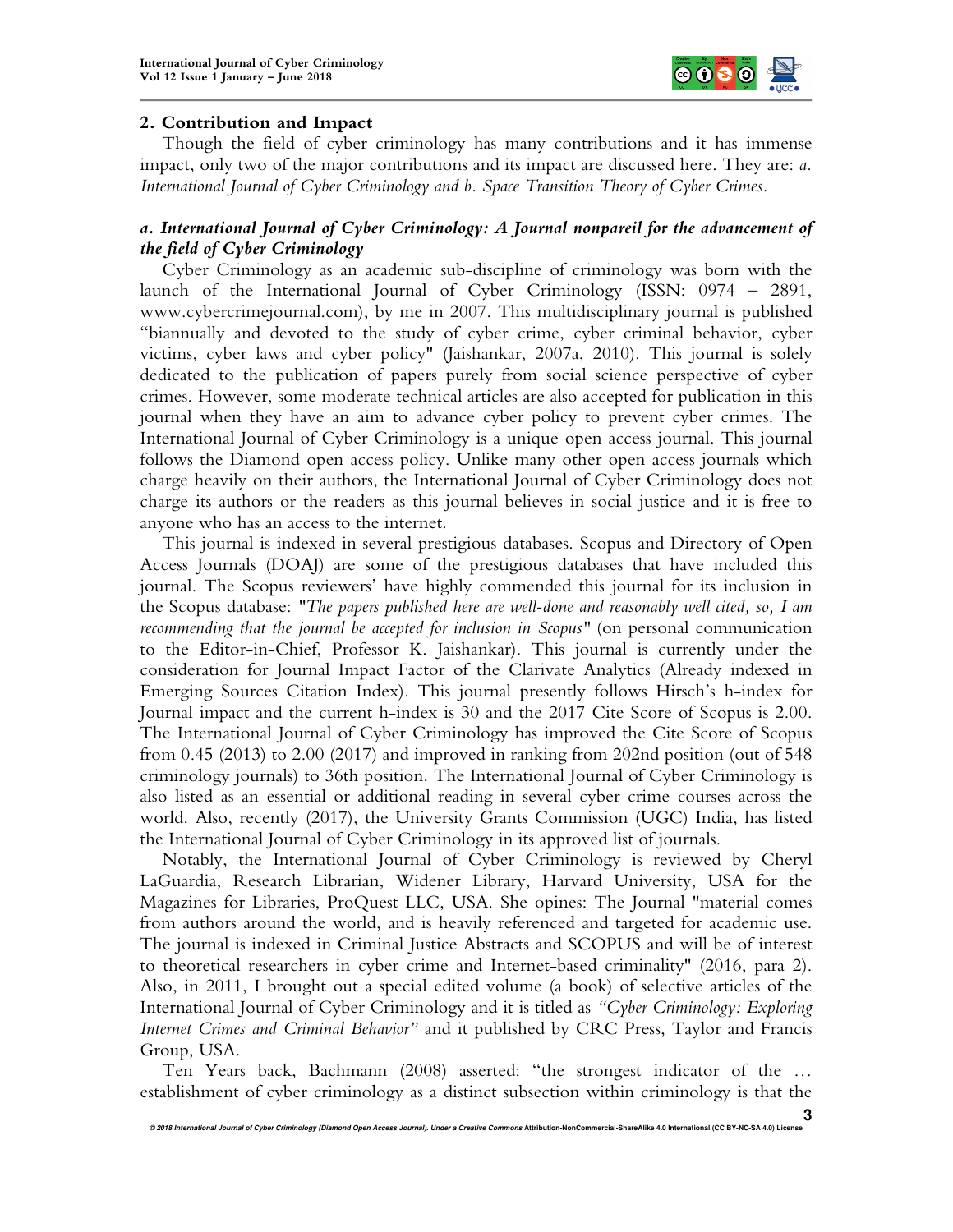

#### **2. Contribution and Impact**

Though the field of cyber criminology has many contributions and it has immense impact, only two of the major contributions and its impact are discussed here. They are: *a. International Journal of Cyber Criminology and b. Space Transition Theory of Cyber Crimes.* 

## *a. International Journal of Cyber Criminology: A Journal nonpareil for the advancement of the field of Cyber Criminology*

Cyber Criminology as an academic sub-discipline of criminology was born with the launch of the International Journal of Cyber Criminology (ISSN: 0974 – 2891, www.cybercrimejournal.com), by me in 2007. This multidisciplinary journal is published "biannually and devoted to the study of cyber crime, cyber criminal behavior, cyber victims, cyber laws and cyber policy" (Jaishankar, 2007a, 2010). This journal is solely dedicated to the publication of papers purely from social science perspective of cyber crimes. However, some moderate technical articles are also accepted for publication in this journal when they have an aim to advance cyber policy to prevent cyber crimes. The International Journal of Cyber Criminology is a unique open access journal. This journal follows the Diamond open access policy. Unlike many other open access journals which charge heavily on their authors, the International Journal of Cyber Criminology does not charge its authors or the readers as this journal believes in social justice and it is free to anyone who has an access to the internet.

This journal is indexed in several prestigious databases. Scopus and Directory of Open Access Journals (DOAJ) are some of the prestigious databases that have included this journal. The Scopus reviewers' have highly commended this journal for its inclusion in the Scopus database: *"The papers published here are well-done and reasonably well cited, so, I am recommending that the journal be accepted for inclusion in Scopus"* (on personal communication to the Editor-in-Chief, Professor K. Jaishankar). This journal is currently under the consideration for Journal Impact Factor of the Clarivate Analytics (Already indexed in Emerging Sources Citation Index). This journal presently follows Hirsch's h-index for Journal impact and the current h-index is 30 and the 2017 Cite Score of Scopus is 2.00. The International Journal of Cyber Criminology has improved the Cite Score of Scopus from 0.45 (2013) to 2.00 (2017) and improved in ranking from 202nd position (out of 548 criminology journals) to 36th position. The International Journal of Cyber Criminology is also listed as an essential or additional reading in several cyber crime courses across the world. Also, recently (2017), the University Grants Commission (UGC) India, has listed the International Journal of Cyber Criminology in its approved list of journals.

Notably, the International Journal of Cyber Criminology is reviewed by Cheryl LaGuardia, Research Librarian, Widener Library, Harvard University, USA for the Magazines for Libraries, ProQuest LLC, USA. She opines: The Journal "material comes from authors around the world, and is heavily referenced and targeted for academic use. The journal is indexed in Criminal Justice Abstracts and SCOPUS and will be of interest to theoretical researchers in cyber crime and Internet-based criminality" (2016, para 2). Also, in 2011, I brought out a special edited volume (a book) of selective articles of the International Journal of Cyber Criminology and it is titled as *"Cyber Criminology: Exploring Internet Crimes and Criminal Behavior"* and it published by CRC Press, Taylor and Francis Group, USA.

Ten Years back, Bachmann (2008) asserted: "the strongest indicator of the … establishment of cyber criminology as a distinct subsection within criminology is that the

**© 2018 International Journal of Cyber Criminology (Diamond Open Access Journal). Under a Creative Commons Attribution-NonCommercial-ShareAlike 4.0 International (CC BY-NC-SA 4.0) License**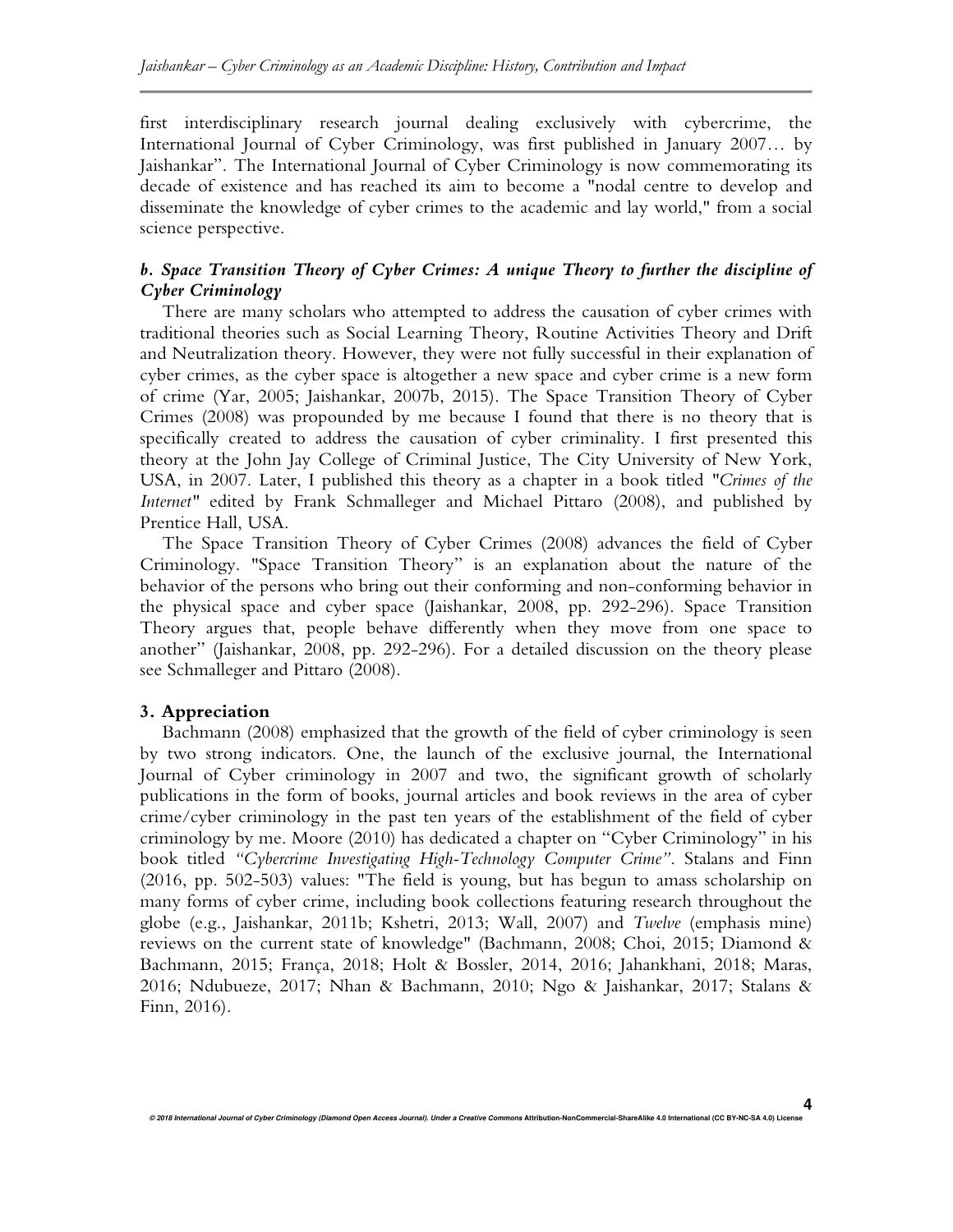first interdisciplinary research journal dealing exclusively with cybercrime, the International Journal of Cyber Criminology, was first published in January 2007… by Jaishankar". The International Journal of Cyber Criminology is now commemorating its decade of existence and has reached its aim to become a "nodal centre to develop and disseminate the knowledge of cyber crimes to the academic and lay world," from a social science perspective.

#### *b. Space Transition Theory of Cyber Crimes: A unique Theory to further the discipline of Cyber Criminology*

There are many scholars who attempted to address the causation of cyber crimes with traditional theories such as Social Learning Theory, Routine Activities Theory and Drift and Neutralization theory. However, they were not fully successful in their explanation of cyber crimes, as the cyber space is altogether a new space and cyber crime is a new form of crime (Yar, 2005; Jaishankar, 2007b, 2015). The Space Transition Theory of Cyber Crimes (2008) was propounded by me because I found that there is no theory that is specifically created to address the causation of cyber criminality. I first presented this theory at the John Jay College of Criminal Justice, The City University of New York, USA, in 2007. Later, I published this theory as a chapter in a book titled *"Crimes of the Internet"* edited by Frank Schmalleger and Michael Pittaro (2008), and published by Prentice Hall, USA.

The Space Transition Theory of Cyber Crimes (2008) advances the field of Cyber Criminology. "Space Transition Theory" is an explanation about the nature of the behavior of the persons who bring out their conforming and non-conforming behavior in the physical space and cyber space (Jaishankar, 2008, pp. 292-296). Space Transition Theory argues that, people behave differently when they move from one space to another" (Jaishankar, 2008, pp. 292-296). For a detailed discussion on the theory please see Schmalleger and Pittaro (2008).

#### **3. Appreciation**

Bachmann (2008) emphasized that the growth of the field of cyber criminology is seen by two strong indicators. One, the launch of the exclusive journal, the International Journal of Cyber criminology in 2007 and two, the significant growth of scholarly publications in the form of books, journal articles and book reviews in the area of cyber crime/cyber criminology in the past ten years of the establishment of the field of cyber criminology by me. Moore (2010) has dedicated a chapter on "Cyber Criminology" in his book titled *"Cybercrime Investigating High-Technology Computer Crime"*. Stalans and Finn (2016, pp. 502-503) values: "The field is young, but has begun to amass scholarship on many forms of cyber crime, including book collections featuring research throughout the globe (e.g., Jaishankar, 2011b; Kshetri, 2013; Wall, 2007) and *Twelve* (emphasis mine) reviews on the current state of knowledge" (Bachmann, 2008; Choi, 2015; Diamond & Bachmann, 2015; França, 2018; Holt & Bossler, 2014, 2016; Jahankhani, 2018; Maras, 2016; Ndubueze, 2017; Nhan & Bachmann, 2010; Ngo & Jaishankar, 2017; Stalans & Finn, 2016).

**4**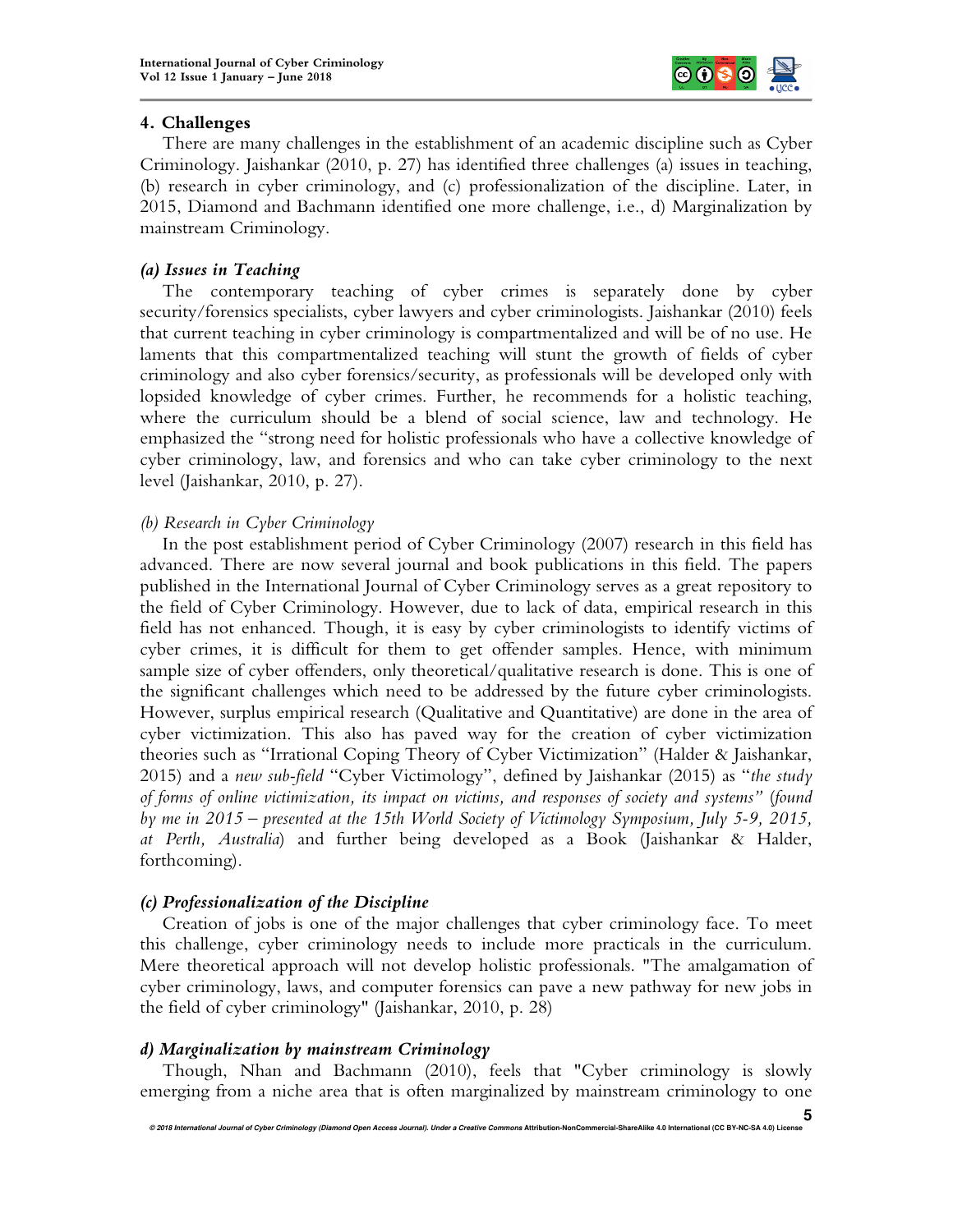

#### **4. Challenges**

There are many challenges in the establishment of an academic discipline such as Cyber Criminology. Jaishankar (2010, p. 27) has identified three challenges (a) issues in teaching, (b) research in cyber criminology, and (c) professionalization of the discipline. Later, in 2015, Diamond and Bachmann identified one more challenge, i.e., d) Marginalization by mainstream Criminology.

# *(a) Issues in Teaching*

The contemporary teaching of cyber crimes is separately done by cyber security/forensics specialists, cyber lawyers and cyber criminologists. Jaishankar (2010) feels that current teaching in cyber criminology is compartmentalized and will be of no use. He laments that this compartmentalized teaching will stunt the growth of fields of cyber criminology and also cyber forensics/security, as professionals will be developed only with lopsided knowledge of cyber crimes. Further, he recommends for a holistic teaching, where the curriculum should be a blend of social science, law and technology. He emphasized the "strong need for holistic professionals who have a collective knowledge of cyber criminology, law, and forensics and who can take cyber criminology to the next level (Jaishankar, 2010, p. 27).

## *(b) Research in Cyber Criminology*

In the post establishment period of Cyber Criminology (2007) research in this field has advanced. There are now several journal and book publications in this field. The papers published in the International Journal of Cyber Criminology serves as a great repository to the field of Cyber Criminology. However, due to lack of data, empirical research in this field has not enhanced. Though, it is easy by cyber criminologists to identify victims of cyber crimes, it is difficult for them to get offender samples. Hence, with minimum sample size of cyber offenders, only theoretical/qualitative research is done. This is one of the significant challenges which need to be addressed by the future cyber criminologists. However, surplus empirical research (Qualitative and Quantitative) are done in the area of cyber victimization. This also has paved way for the creation of cyber victimization theories such as "Irrational Coping Theory of Cyber Victimization" (Halder & Jaishankar, 2015) and a *new sub-field* "Cyber Victimology", defined by Jaishankar (2015) as "*the study of forms of online victimization, its impact on victims, and responses of society and systems"* (*found by me in 2015 – presented at the 15th World Society of Victimology Symposium, July 5-9, 2015, at Perth, Australia*) and further being developed as a Book (Jaishankar & Halder, forthcoming).

#### *(c) Professionalization of the Discipline*

Creation of jobs is one of the major challenges that cyber criminology face. To meet this challenge, cyber criminology needs to include more practicals in the curriculum. Mere theoretical approach will not develop holistic professionals. "The amalgamation of cyber criminology, laws, and computer forensics can pave a new pathway for new jobs in the field of cyber criminology" (Jaishankar, 2010, p. 28)

# *d) Marginalization by mainstream Criminology*

Though, Nhan and Bachmann (2010), feels that "Cyber criminology is slowly emerging from a niche area that is often marginalized by mainstream criminology to one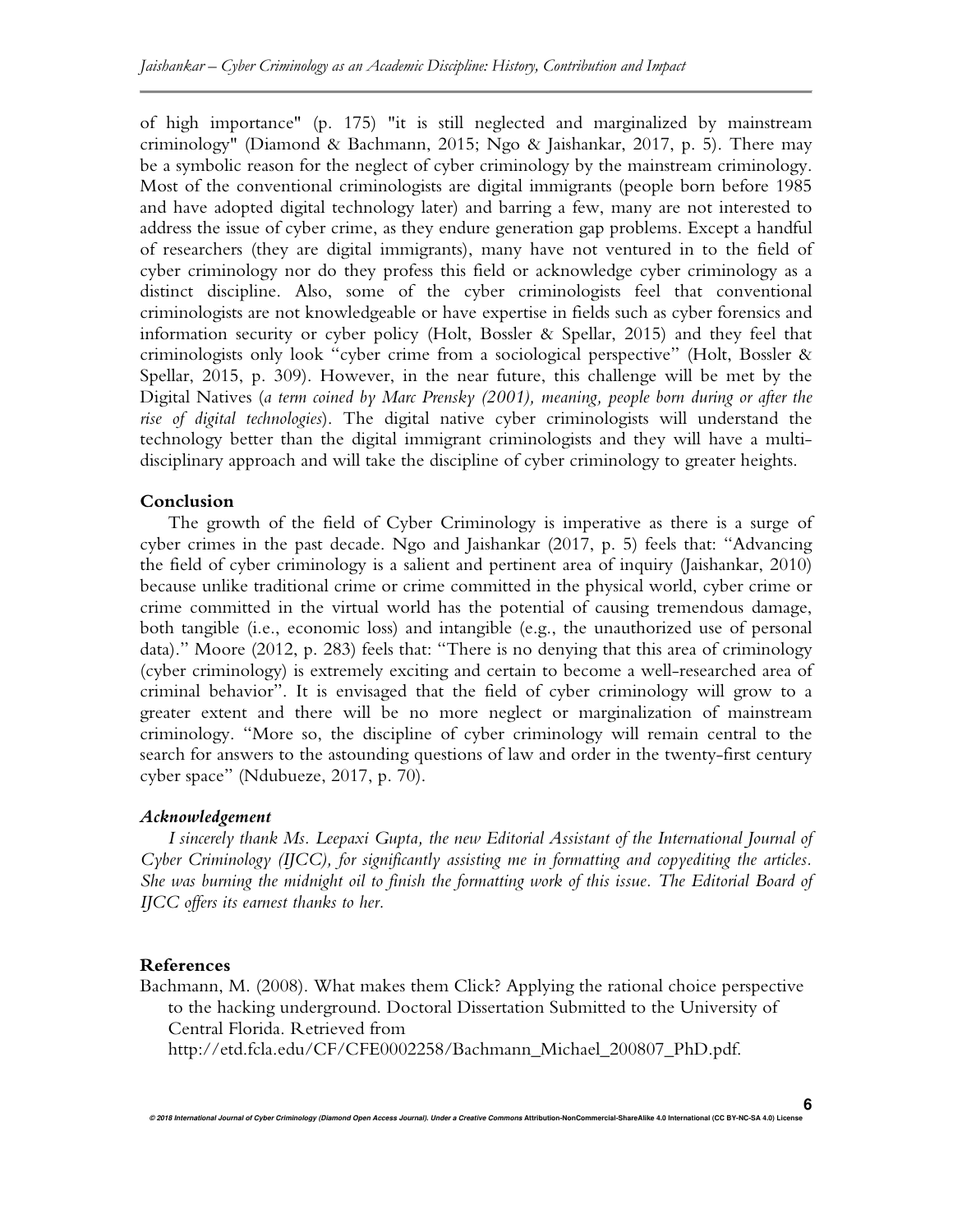of high importance" (p. 175) "it is still neglected and marginalized by mainstream criminology" (Diamond & Bachmann, 2015; Ngo & Jaishankar, 2017, p. 5). There may be a symbolic reason for the neglect of cyber criminology by the mainstream criminology. Most of the conventional criminologists are digital immigrants (people born before 1985 and have adopted digital technology later) and barring a few, many are not interested to address the issue of cyber crime, as they endure generation gap problems. Except a handful of researchers (they are digital immigrants), many have not ventured in to the field of cyber criminology nor do they profess this field or acknowledge cyber criminology as a distinct discipline. Also, some of the cyber criminologists feel that conventional criminologists are not knowledgeable or have expertise in fields such as cyber forensics and information security or cyber policy (Holt, Bossler & Spellar, 2015) and they feel that criminologists only look "cyber crime from a sociological perspective" (Holt, Bossler & Spellar, 2015, p. 309). However, in the near future, this challenge will be met by the Digital Natives (*a term coined by Marc Prensky (2001), meaning, people born during or after the rise of digital technologies*). The digital native cyber criminologists will understand the technology better than the digital immigrant criminologists and they will have a multidisciplinary approach and will take the discipline of cyber criminology to greater heights.

#### **Conclusion**

The growth of the field of Cyber Criminology is imperative as there is a surge of cyber crimes in the past decade. Ngo and Jaishankar (2017, p. 5) feels that: "Advancing the field of cyber criminology is a salient and pertinent area of inquiry (Jaishankar, 2010) because unlike traditional crime or crime committed in the physical world, cyber crime or crime committed in the virtual world has the potential of causing tremendous damage, both tangible (i.e., economic loss) and intangible (e.g., the unauthorized use of personal data)." Moore (2012, p. 283) feels that: "There is no denying that this area of criminology (cyber criminology) is extremely exciting and certain to become a well-researched area of criminal behavior". It is envisaged that the field of cyber criminology will grow to a greater extent and there will be no more neglect or marginalization of mainstream criminology. "More so, the discipline of cyber criminology will remain central to the search for answers to the astounding questions of law and order in the twenty-first century cyber space" (Ndubueze, 2017, p. 70).

#### *Acknowledgement*

*I sincerely thank Ms. Leepaxi Gupta, the new Editorial Assistant of the International Journal of Cyber Criminology (IJCC), for significantly assisting me in formatting and copyediting the articles. She was burning the midnight oil to finish the formatting work of this issue. The Editorial Board of IJCC offers its earnest thanks to her.*  Ĵ

#### **References**

Bachmann, M. (2008). What makes them Click? Applying the rational choice perspective to the hacking underground. Doctoral Dissertation Submitted to the University of Central Florida. Retrieved from http://etd.fcla.edu/CF/CFE0002258/Bachmann\_Michael\_200807\_PhD.pdf.

© 2018 International Journal of Cyber Criminology (Diamond Open Access Journal). Under a Creative Commons Attribution-NonCommercial-ShareAlike 4.0 International (CC BY-NC-SA 4.0) Licens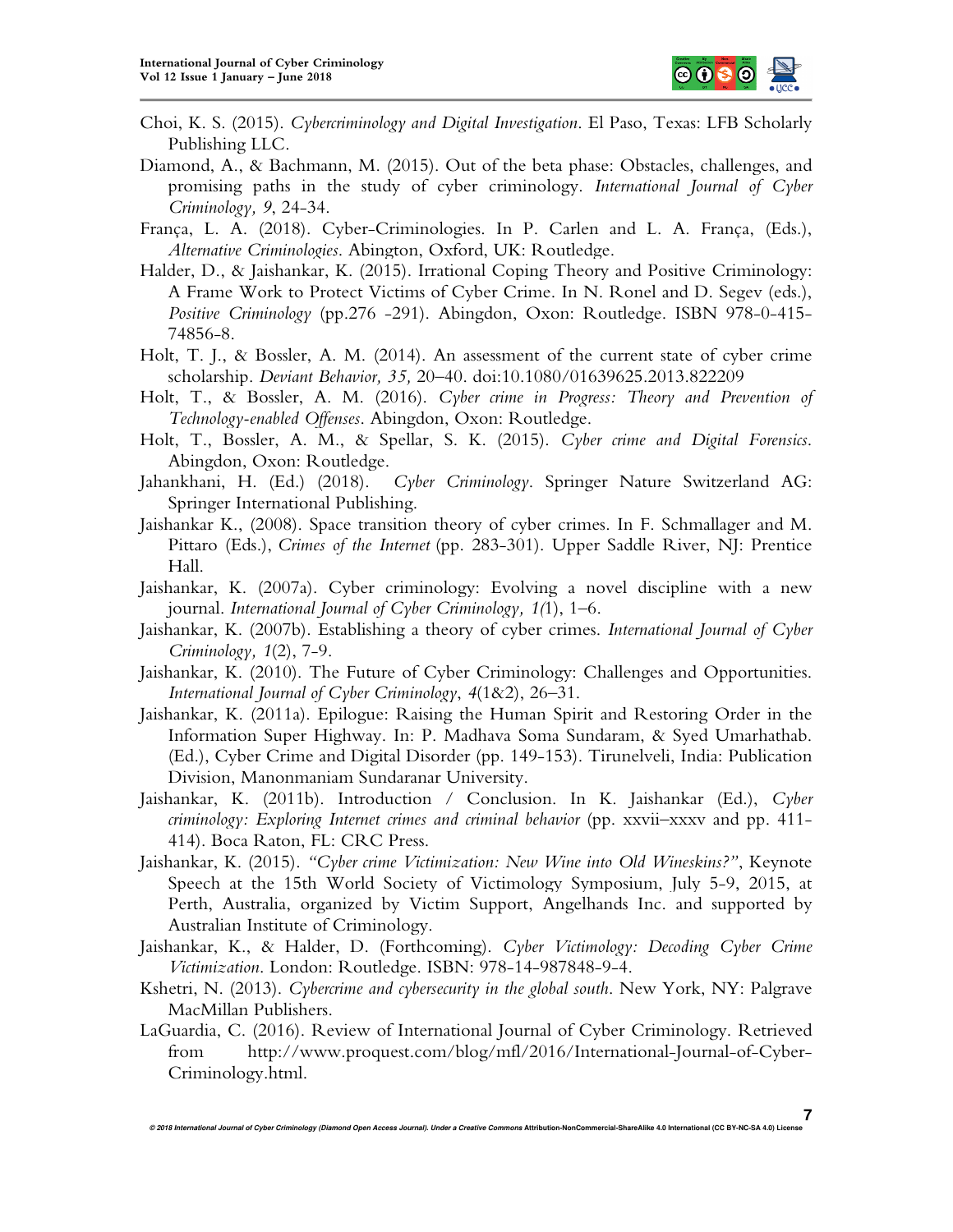

- Choi, K. S. (2015). *Cybercriminology and Digital Investigation*. El Paso, Texas: LFB Scholarly Publishing LLC.
- Diamond, A., & Bachmann, M. (2015). Out of the beta phase: Obstacles, challenges, and promising paths in the study of cyber criminology. *International Journal of Cyber Criminology, 9*, 24-34.
- França, L. A. (2018). Cyber-Criminologies. In P. Carlen and L. A. França, (Eds.), *Alternative Criminologies*. Abington, Oxford, UK: Routledge.
- Halder, D., & Jaishankar, K. (2015). Irrational Coping Theory and Positive Criminology: A Frame Work to Protect Victims of Cyber Crime. In N. Ronel and D. Segev (eds.), *Positive Criminology* (pp.276 -291). Abingdon, Oxon: Routledge. ISBN 978-0-415- 74856-8.
- Holt, T. J., & Bossler, A. M. (2014). An assessment of the current state of cyber crime scholarship. *Deviant Behavior, 35,* 20–40. doi:10.1080/01639625.2013.822209
- Holt, T., & Bossler, A. M. (2016). *Cyber crime in Progress: Theory and Prevention of Technology-enabled Offenses*. Abingdon, Oxon: Routledge.
- Holt, T., Bossler, A. M., & Spellar, S. K. (2015). *Cyber crime and Digital Forensics*. Abingdon, Oxon: Routledge.
- Jahankhani, H. (Ed.) (2018). *Cyber Criminology*. Springer Nature Switzerland AG: Springer International Publishing.
- Jaishankar K., (2008). Space transition theory of cyber crimes. In F. Schmallager and M. Pittaro (Eds.), *Crimes of the Internet* (pp. 283-301). Upper Saddle River, NJ: Prentice Hall.
- Jaishankar, K. (2007a). Cyber criminology: Evolving a novel discipline with a new journal. *International Journal of Cyber Criminology, 1(*1), 1–6.
- Jaishankar, K. (2007b). Establishing a theory of cyber crimes. *International Journal of Cyber Criminology, 1*(2), 7-9.
- Jaishankar, K. (2010). The Future of Cyber Criminology: Challenges and Opportunities. *International Journal of Cyber Criminology*, *4*(1&2), 26–31.
- Jaishankar, K. (2011a). Epilogue: Raising the Human Spirit and Restoring Order in the Information Super Highway. In: P. Madhava Soma Sundaram, & Syed Umarhathab. (Ed.), Cyber Crime and Digital Disorder (pp. 149-153). Tirunelveli, India: Publication Division, Manonmaniam Sundaranar University.
- Jaishankar, K. (2011b). Introduction / Conclusion. In K. Jaishankar (Ed.), *Cyber criminology: Exploring Internet crimes and criminal behavior* (pp. xxvii–xxxv and pp. 411- 414). Boca Raton, FL: CRC Press.
- Jaishankar, K. (2015). *"Cyber crime Victimization: New Wine into Old Wineskins?"*, Keynote Speech at the 15th World Society of Victimology Symposium, July 5-9, 2015, at Perth, Australia, organized by Victim Support, Angelhands Inc. and supported by Australian Institute of Criminology.
- Jaishankar, K., & Halder, D. (Forthcoming). *Cyber Victimology: Decoding Cyber Crime Victimization*. London: Routledge. ISBN: 978-14-987848-9-4.
- Kshetri, N. (2013). *Cybercrime and cybersecurity in the global south*. New York, NY: Palgrave MacMillan Publishers.
- LaGuardia, C. (2016). Review of International Journal of Cyber Criminology. Retrieved from http://www.proquest.com/blog/mfl/2016/International-Journal-of-Cyber-Criminology.html.

**© 2018 International Journal of Cyber Criminology (Diamond Open Access Journal). Under a Creative Commons Attribution-NonCommercial-ShareAlike 4.0 International (CC BY-NC-SA 4.0) License 7**